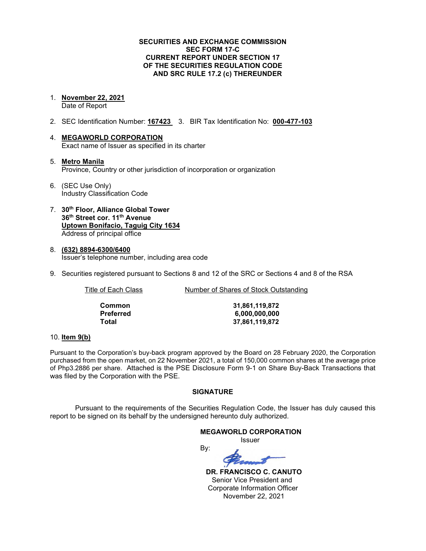### **SECURITIES AND EXCHANGE COMMISSION SEC FORM 17-C CURRENT REPORT UNDER SECTION 17 OF THE SECURITIES REGULATION CODE AND SRC RULE 17.2 (c) THEREUNDER**

1. **November 22, 2021**

Date of Report

- 2. SEC Identification Number: **167423** 3. BIR Tax Identification No: **000-477-103**
- 4. **MEGAWORLD CORPORATION** Exact name of Issuer as specified in its charter
- 5. **Metro Manila** Province, Country or other jurisdiction of incorporation or organization
- 6. (SEC Use Only) Industry Classification Code
- 7. **30th Floor, Alliance Global Tower 36th Street cor. 11th Avenue Uptown Bonifacio, Taguig City 1634** Address of principal office
- 8. **(632) 8894-6300/6400** Issuer's telephone number, including area code
- 9. Securities registered pursuant to Sections 8 and 12 of the SRC or Sections 4 and 8 of the RSA

Title of Each Class Number of Shares of Stock Outstanding

| Common    |
|-----------|
| Preferred |
| Total     |

**Common 31,861,119,872 Preferred 6,000,000,000 Total 37,861,119,872**

### 10. **Item 9(b)**

Pursuant to the Corporation's buy-back program approved by the Board on 28 February 2020, the Corporation purchased from the open market, on 22 November 2021, a total of 150,000 common shares at the average price of Php3.2886 per share. Attached is the PSE Disclosure Form 9-1 on Share Buy-Back Transactions that was filed by the Corporation with the PSE.

## **SIGNATURE**

Pursuant to the requirements of the Securities Regulation Code, the Issuer has duly caused this report to be signed on its behalf by the undersigned hereunto duly authorized.

> **MEGAWORLD CORPORATION** Issuer

By:

 **DR. FRANCISCO C. CANUTO** Senior Vice President and Corporate Information Officer November 22, 2021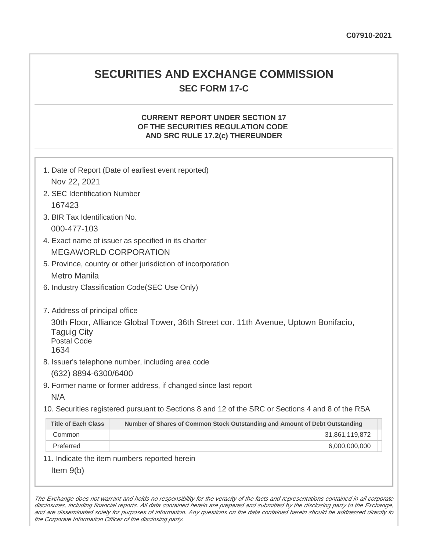## **SECURITIES AND EXCHANGE COMMISSION SEC FORM 17-C**

## **CURRENT REPORT UNDER SECTION 17 OF THE SECURITIES REGULATION CODE AND SRC RULE 17.2(c) THEREUNDER**

| Nov 22, 2021                                                                       | 1. Date of Report (Date of earliest event reported)                                                                                     |
|------------------------------------------------------------------------------------|-----------------------------------------------------------------------------------------------------------------------------------------|
| 2. SEC Identification Number                                                       |                                                                                                                                         |
| 167423                                                                             |                                                                                                                                         |
| 3. BIR Tax Identification No.                                                      |                                                                                                                                         |
| 000-477-103                                                                        |                                                                                                                                         |
|                                                                                    | 4. Exact name of issuer as specified in its charter                                                                                     |
|                                                                                    | <b>MEGAWORLD CORPORATION</b>                                                                                                            |
|                                                                                    | 5. Province, country or other jurisdiction of incorporation                                                                             |
| Metro Manila                                                                       |                                                                                                                                         |
|                                                                                    | 6. Industry Classification Code(SEC Use Only)                                                                                           |
| 7. Address of principal office<br><b>Taguig City</b><br><b>Postal Code</b><br>1634 | 30th Floor, Alliance Global Tower, 36th Street cor. 11th Avenue, Uptown Bonifacio,<br>8. Issuer's telephone number, including area code |
| (632) 8894-6300/6400                                                               |                                                                                                                                         |
|                                                                                    | 9. Former name or former address, if changed since last report                                                                          |
| N/A                                                                                |                                                                                                                                         |
|                                                                                    | 10. Securities registered pursuant to Sections 8 and 12 of the SRC or Sections 4 and 8 of the RSA                                       |
| <b>Title of Each Class</b>                                                         | Number of Shares of Common Stock Outstanding and Amount of Debt Outstanding                                                             |
| Common                                                                             | 31,861,119,872                                                                                                                          |
| Preferred                                                                          | 6,000,000,000                                                                                                                           |
|                                                                                    | 11. Indicate the item numbers reported herein                                                                                           |
| Item $9(b)$                                                                        |                                                                                                                                         |

The Exchange does not warrant and holds no responsibility for the veracity of the facts and representations contained in all corporate disclosures, including financial reports. All data contained herein are prepared and submitted by the disclosing party to the Exchange, and are disseminated solely for purposes of information. Any questions on the data contained herein should be addressed directly to the Corporate Information Officer of the disclosing party.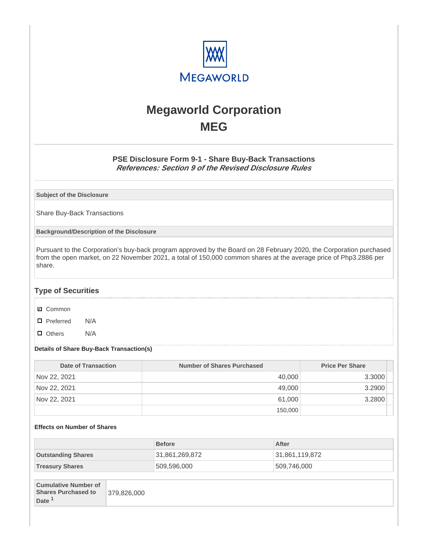

# **Megaworld Corporation MEG**

## **PSE Disclosure Form 9-1 - Share Buy-Back Transactions References: Section 9 of the Revised Disclosure Rules**

**Subject of the Disclosure**

Share Buy-Back Transactions

**Background/Description of the Disclosure**

Pursuant to the Corporation's buy-back program approved by the Board on 28 February 2020, the Corporation purchased from the open market, on 22 November 2021, a total of 150,000 common shares at the average price of Php3.2886 per share.

## **Type of Securities**

- **☑** Common
- □ Preferred N/A
- D Others N/A

### **Details of Share Buy-Back Transaction(s)**

| Date of Transaction | Number of Shares Purchased | <b>Price Per Share</b> |
|---------------------|----------------------------|------------------------|
| Nov 22, 2021        | 40,000                     | 3.3000                 |
| Nov 22, 2021        | 49,000                     | 3.2900                 |
| Nov 22, 2021        | 61.000                     | 3.2800                 |
|                     | 150,000                    |                        |

### **Effects on Number of Shares**

|                           | <b>Before</b>  | After          |
|---------------------------|----------------|----------------|
| <b>Outstanding Shares</b> | 31,861,269,872 | 31,861,119,872 |
| <b>Treasury Shares</b>    | 509,596,000    | 509,746,000    |
|                           |                |                |

| <b>Cumulative Number of</b><br><b>Shares Purchased to</b><br>Date <sup>1</sup> | 379,826,000 |
|--------------------------------------------------------------------------------|-------------|
|--------------------------------------------------------------------------------|-------------|